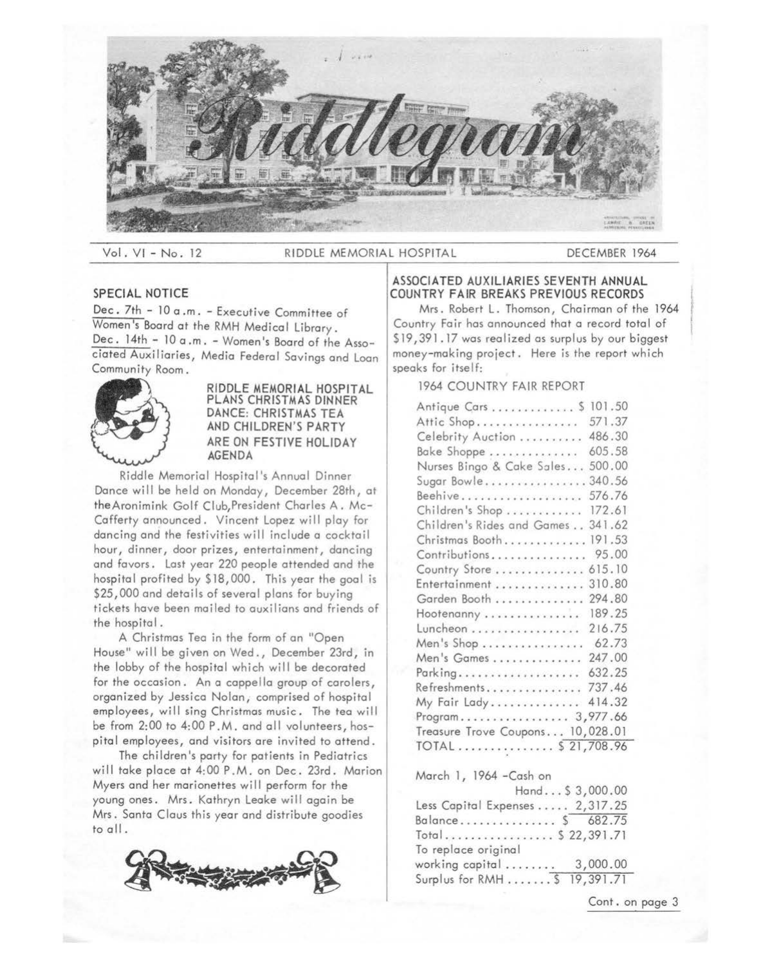

Vol.VI-No.12 RIDDLE MEMORIAL HOSPITAL DECEMBER 1964

# **SPECIAL NOTICE**

Dec. 7th - 10 a .m. - Executive Committee of Women's Board at the RMH Medical Library. Dec. 14th - 10 a .m. - Women's Board of the Associated Auxiliaries, Media Federal Savings and Loan<br>Community Room.



**RIDDLE MEMORIAL HOSPITAL PLANS CHRISTMAS DINNER DANCE: CHRISTMAS TEA AND CHILDREN'S PARTY ARE ON FESTIVE HOLIDAY AGENDA** 

Riddle Memorial Hospital's Annual Dinner Dance will be held on Monday, December 28th, at theAronimink Golf Club,President Charles A. Mc-Cafferty announced. Vincent Lopez will play for dancing and the festivities will include a cocktail hour, dinner, door prizes, entertainment, dancing and favors. Last year 220 people attended and the hospital profited by \$18,000. This year the goal is \$25,000 and details of several plans for buying tickets have been mailed to auxilians and friends of the hospital.

A Christmas Tea in the form of an "Open House" wi 11 be given on Wed., December 23rd, in the lobby of the hospital which will be decorated for the occasion. An a cappella group of carolers, organized by Jessica Nolan, comprised of hospital employees, will sing Christmas music. The tea will be from 2:00 to 4:00 P.M. and all volunteers, hospital employees, and visitors are invited to attend.

The children's party for patients in Pediatrics will take place at 4:00 P.M. on Dec. 23rd. Marion Myers and her marionettes will perform for the young ones. Mrs. Kathryn Leake will again be Mrs. Santa Claus this year and distribute goodies to all.



### **ASSOCIATED AUXILIARIES SEVENTH ANNUAL COUNTRY FAIR BREAKS PREVIOUS RECORDS**

Mrs. Robert L. Thomson, Chairman of the 1964 Country Fair has announced that a record total of \$19,391.17 was realized as surplus by our biggest money-making project. Here is the report which speaks for itself:

1964 COUNTRY FAIR REPORT

| Antique Cars 5 101.50             |        |
|-----------------------------------|--------|
| Attic Shop                        | 571.37 |
| Celebrity Auction                 | 486.30 |
| Bake Shoppe                       | 605.58 |
| Nurses Bingo & Cake Sales         | 500.00 |
| Sugar Bowle340.56                 |        |
| Beehive                           | 576.76 |
| Children's Shop                   | 172.61 |
| Children's Rides and Games 341.62 |        |
| Christmas Booth 191.53            |        |
| Contributions                     | 95.00  |
| Country Store                     | 615.10 |
| Entertainment                     | 310.80 |
| Garden Booth                      | 294.80 |
| Hootenanny                        | 189.25 |
| Luncheon                          | 216.75 |
| Men's Shop                        | 62.73  |
| Men's Games                       | 247.00 |
|                                   | 632.25 |
| Refreshments                      | 737.46 |
| My Fair Lady                      | 414.32 |
| Program 3,977.66                  |        |
| Treasure Trove Coupons 10,028.01  |        |
| TOTAL \$ 21,708.96                |        |

March l, 1964 -Cash on

|                                 | Hand $$3,000.00$ |
|---------------------------------|------------------|
| Less Capital Expenses  2,317.25 |                  |
| Balance \$ 682.75               |                  |
| Total \$ 22,391.71              |                  |
| To replace original             |                  |
| working capital 3,000.00        |                  |
| Surplus for RMH \$ 19,391.71    |                  |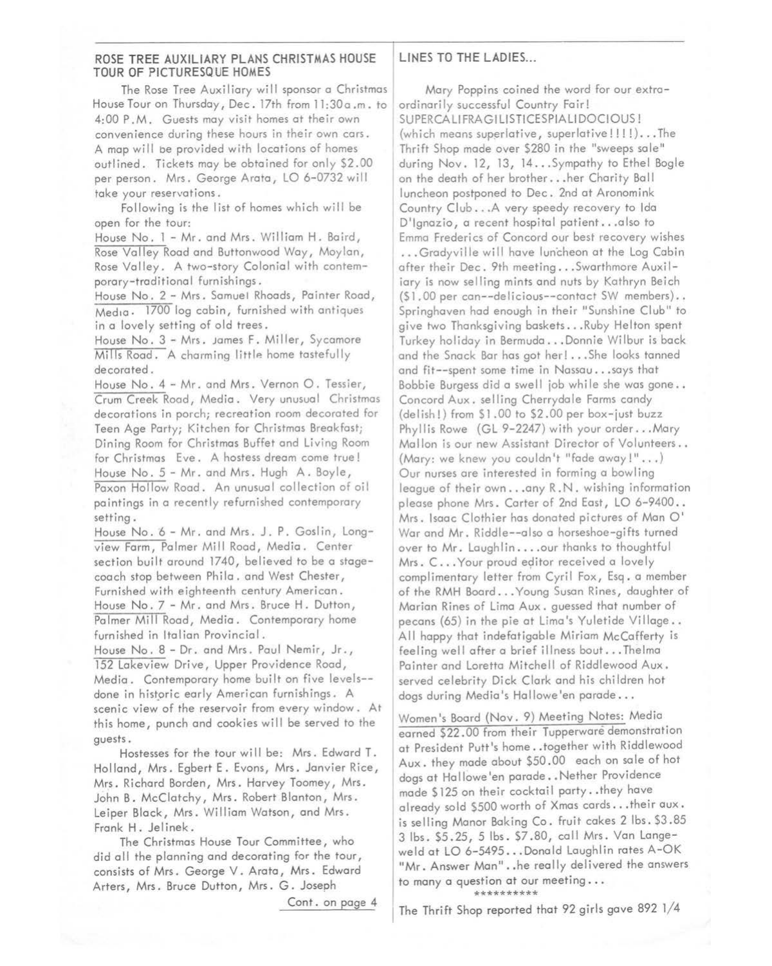## **ROSE TREE AUXILIARY PLANS CHRISTMAS HOUSE TOUR OF PICTURESQUE HOMES**

The Rose Tree Auxiliary will sponsor a Christmas House Tour on Thursday, Dec. 17th from 11:30 a.m. to 4:00 P.M. Guests may visit homes at their own convenience during these hours in their own cars. A map will be provided with locations of homes outlined. Tickets may be obtained for only \$2.00 per person. Mrs. George Arata, LO 6-0732 will take your reservations.

Following is the list of homes which will be open for the tour:

House No. 1 - Mr. and Mrs. William H. Baird, Rose Valley Road and Buttonwood Way, Moylan, Rose Valley. A two-story Colonial with contemporary-traditional furnishings.

House No. 2 - Mrs. Samuel Rhoads, Painter Road, Media. 1700 log cabin, furnished with antiques in a lovely setting of old trees.

House No. 3 - Mrs. James F. Miller, Sycamore Mills Road. A charming little home tastefully decorated.

House No. 4 - Mr. and Mrs. Vernon O. Tessier, Crum Creek Road, Media. Very unusual Christmas decorations in porch; recreation room decorated for Teen Age Party; Kitchen for Christmas Breakfast; Dining Room for Christmas Buffet and Living Room for Christmas Eve. A hostess dream come true! House No. 5 - Mr. and Mrs. Hugh A. Boyle, Paxon Hollow Road. An unusual collection of oil paintings in a recently refurnished contemporary setting.

House No. 6 - Mr. and Mrs. J.P. Goslin, Longview Farm, Palmer Mill Road, Media. Center section built around 1740, believed to be a stagecoach stop between Phila. and West Chester, Furnished with eighteenth century American. House No. 7 - Mr. and Mrs. Bruce H . Dutton, Palmer Mill Road, Media. Contemporary home furnished in Italian Provincial.

House No. 8 - Dr. and Mrs. Paul Nemir, Jr., 152 Lakeview Drive, Upper Providence Road, Media. Contemporary home built on five levels- done in historic early American furnishings. A scenic view of the reservoir from every window. At this home, punch and cookies will be served to the guests.

Hostesses for the tour wi 11 be: Mrs. Edward **T.**  Holland, Mrs. Egbert E. Evons, Mrs. Janvier Rice, Mrs. Richard Borden, Mrs. Harvey Toomey, Mrs. John B. McClatchy, Mrs. Robert Blanton, Mrs. Leiper Black, Mrs. William Watson, and Mrs. Frank H. Jelinek.

The Christmas House Tour Committee, who did all the planning and decorating for the tour, consists of Mrs. George V. Arata, Mrs. Edward Arters, Mrs. Bruce Dutton, Mrs. G. Joseph

Cont. on page 4

# LINES TO THE LADIES...

Mary Poppins coined the word for our extraordinarily successful Country Fair! SUPERCALIFRA GILISTICESPIA LIDOCIOUS! (which means superlative, superlative!!!!!)...The Thrift Shop made over \$280 in the "sweeps sale" during Nov. 12, 13, 14 ... Sympathy to Ethel Bogle on the death of her brother ... her Charity Ball luncheon postponed to Dec. 2nd at Aronomink Country Club ... A very speedy recovery to Ida D'lgnazio, a recent hospital patient ... also to Emma Frederics of Concord our best recovery wishes ... Gradyville will have luncheon at the Log Cabin after their Dec. 9th meeting ... Swarthmore Auxiliary is now selling mints and nuts by Kathryn Beich (\$1 . 00 per can--de Ii cious--contact SW members) .. Springhaven had enough in their "Sunshine Club" to give two Thanksgiving baskets ... Ruby Helton spent Turkey holiday in Bermuda ... Donnie Wilbur is back and the Snack Bar has got her! ... She looks tanned and fit--spent some time in Nassau ... says that Bobbie Burgess did a swell job while she was gone... Concord Aux. selling Cherrydale Farms candy (delish!) from \$1.00 to \$2.00 per box-just buzz Phyllis Rowe (GL 9-2247) with your order... Mary Mallon is our new Assistant Director of Volunteers.. (Mary: we knew you couldn't "fade away!"...) Our nurses are interested in forming a bowling league of their own ... any R .N. wishing information please phone Mrs. Carter of 2nd East, LO 6-9400.. Mrs. Isaac Clothier has donated pictures of Man O' War and Mr. Riddle--also a horseshoe-gifts turned over to Mr. Laughlin .... our thanks to thoughtful Mrs. C... Your proud editor received a lovely complimentary letter from Cyril Fox, Esq. a member of the RMH Board ... Young Susan Rines, daughter of Marian Rines of Lima Aux. guessed that number of pecans (65) in the pie at Lima's Yuletide Village.. All happy that indefatigable Miriam McCafferty is feeling well after a brief illness bout. .. Thelma Painter and Loretta Mitchell of Riddlewood Aux. served celebrity Dick Clark and his children hot dogs during Media's Hallowe'en parade ...

Women's Board (Nov. 9) Meeting Notes: Media earned \$22. 00 from their Tupperware demonstration at President Putt's home .. together with Riddlewood Aux. they made about \$50 .00 each on sale of hot dogs at Hallowe'en parade..Nether Providence made \$125 on their cocktail party .. they have already sold \$500 worth of Xmas cards ... their aux. is selling Manor Baking Co. fruit cakes 2 lbs. \$3.85 3 lbs. \$5.25, 5 lbs. \$7.80, call Mrs. Van Langeweld at LO 6-5495 ... Donald Laughlin rotes A-OK "Mr. Answer Man"..he really delivered the answers to many a question at our meeting ... \*\*\*\*\*\*\*\*\*\*

The Thrift Shop reported that 92 girls gave 892 l/4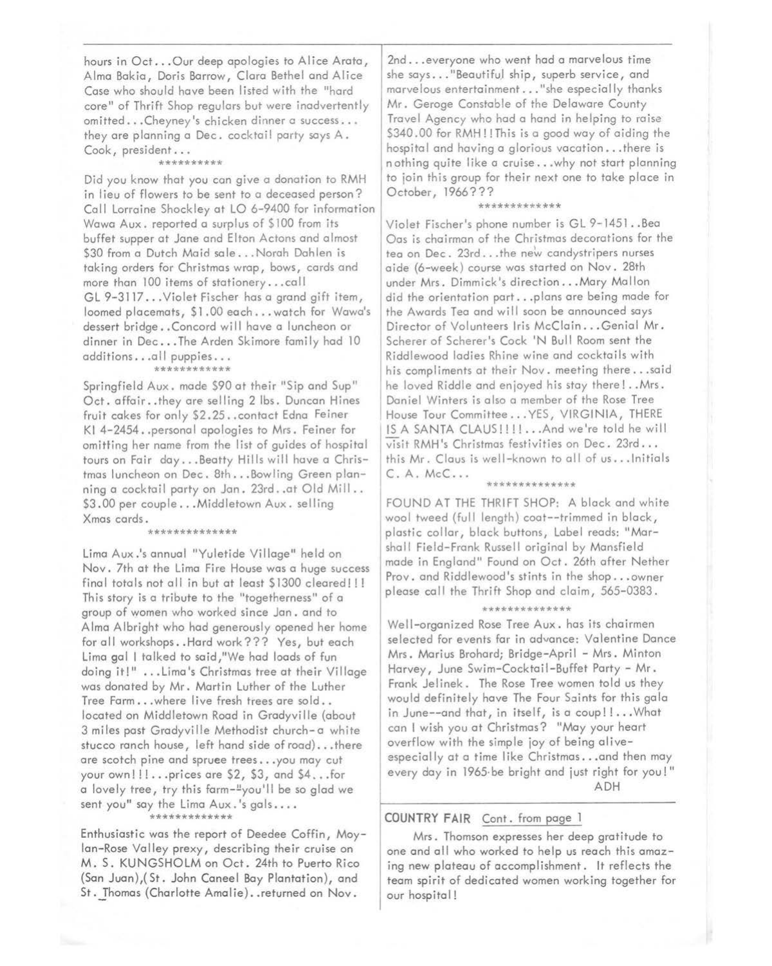hours in Oct ... Our deep apologies to Alice Arata, Alma Bakia, Doris Barrow, Clara Bethel and Alice Case who should have been listed with the "hard core" of Thrift Shop regulars but were inadvertently omitted ... Cheyney's chicken dinner a success ... they are planning a Dec. cocktail party says A. Cook, president...

#### \*\*\*\*\*\*\*\*\*\*

Did you know that you can give a donation to RMH in lieu of flowers to be sent to a deceased person? Call Lorraine Shockley at LO 6-9400 for information Wawa Aux. reported a surplus of \$100 from its buffet supper at Jane and Elton Actons and almost \$30 from a Dutch Maid sale ... Norah Dahlen is taking orders for Christmas wrap, bows, cards and more than 100 items of stationery ... call GL 9-3117 ... Violet Fischer has a grand gift item, loomed placemats, \$1 .00 each ... watch for Wawa's dessert bridge..Concord will have a luncheon or dinner in Dec...The Arden Skimore family had 10 additions...all puppies...

## \*\*\*\*\*\*\*\*\*\*\*\*

Springfield Aux. made \$90 at their "Sip and Sup" Oct. affair..they are selling 2 lbs. Duncan Hines fruit cakes for only \$2.25 .. contact Edna Feiner Kl 4-2454 •. personal apologies to Mrs. Feiner for omitting her name from the list of guides of hospital tours on Fair day ... Beatty Hills will have a Christmas luncheon on Dec. 8th ... Bowling Green planning a cocktail party on Jan. 23rd .. at Old Mill .. \$3.00 per couple... Middletown Aux. selling Xmas cards.

### \*\*\*\*\*\*\*\*\*\*\*\*\*\*

Lima Aux .'s annual "Yuletide Village" held on Nov. 7th at the Lima Fire House was a huge success final totals not all in but at least \$1300 cleared!!! This story is a tribute to the "togetherness" of a group of women who worked since Jan. and to Alma Albright who had generously opened her home for all workshops .. Hard work??? Yes, but each Lima gal I talked to said,"We had loads of fun doing it!" ... Lima's Christmas tree at their Village was donated by Mr. Martin Luther of the Luther Tree Farm ... where live fresh trees are sold .. located on Middletown Road in Gradyville (about 3 miles past Gradyville Methodist church-a white stucco ranch house, left hand side of road) ... there are scotch pine and spruee trees ... you may cut your own!!!...prices are \$2, \$3, and \$4,..for a lovely tree, try this farm-<sup>11</sup>you'll be so glad we sent you" say the Lima Aux.'s gals....

\*\*\*\*\*\*\*\*\*\*\*\*\*

Enthusiastic was the report of Deedee Coffin, Moylan-Rose Valley prexy, describing their cruise on **M.** S. KUNGSHOLM on Oct. 24th to Puerto Rico (San Juan),(St. John Caneel Bay Plantation), and St. Thomas (Charlotte Amalie). . returned on Nov.

2nd ... everyone who went had a marvelous time she says..."Beautiful ship, superb service, and marvelous entertainment ... "she especially thanks Mr. Geroge Constable of the Delaware County Travel Agency who had a hand in helping to raise \$340.00 for RMH!! This is a good way of aiding the hospital and having a glorious vacation ... there is nothing quite like a cruise ... why not start planning to join this group for their next one to take place in October, 1966???

#### \*\*\*\*\*\*\*\*\*\*\*

Violet Fischer's phone number is GL 9-1451 .. Bea Oas is chairman of the Christmas decorations for the tea on Dec. 23rd... the new candystripers nurses aide (6-week) course was started on Nov. 28th under Mrs. Dimmick's direction ... Mary Mallon did the orientation part ... plans are being made for the Awards Tea and will soon be announced says Director of Volunteers Iris McClain ... Genial Mr. Scherer of Scherer's Cock 'N Bull Room sent the Riddlewood ladies Rhine wine and cocktails with his compliments at their Nov. meeting there ... said he loved Riddle and enjoyed his stay there! .. Mrs. Daniel Winters is also a member of the Rose Tree House Tour Committee ... YES, VIRGINIA, THERE IS A SANTA CLAUS!!!! ... And we're told he will visit RMH 's Christmas festivities on Dec. 23rd ... this Mr. Claus is well-known to all of us ... Initials C. A. McC ...

### \*\*\*\*\*\*\*\*\*\*\*\*\*\*

FOUND AT THE THRIFT SHOP: A black and white wool tweed (full length) coat--trimmed in black, plastic collar, black buttons, Label reads: "Marshall Field-Frank Russell original by Mansfield made in England" Found on Oct. 26th after Nether Prov. and Riddlewood's stints in the shop ... owner please call the Thrift Shop and claim, 565-0383.

#### \*\*\*\*\*\*\*\*\*\*\*\*

Well-organized Rose Tree Aux. has its chairmen selected for events far in advance: Valentine Dance Mrs. Marius Brohard; Bridge-April - Mrs. Minton Harvey, June Swim-Cocktail-Buffet Party - Mr. Frank Jelinek. The Rose Tree women told us they would definitely have The Four Saints for this gala in June--and that, in itself, is a coup!!... What can I wish you at Christmas? "May your heart overflow with the simple joy of being aliveespecially at a time like Christmas... and then may every day in 1965-be bright and just right for you!" ADH

### **COUNTRY FAIR** Cont. from page l

Mrs. Thomson expresses her deep gratitude to one and all who worked to help us reach this amazing new plateau of accomplishment. It reflects the team spirit of dedicated women working together for our hospital!